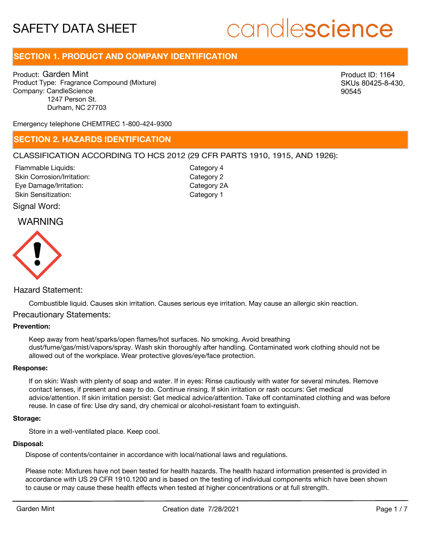## candlescience

## **SECTION 1. PRODUCT AND COMPANY IDENTIFICATION**

Product: Garden Mint Product Type: Fragrance Compound (Mixture) Company: CandleScience 1247 Person St. Durham, NC 27703

Product ID: 1164 SKUs 80425-8-430, 90545

Emergency telephone CHEMTREC 1-800-424-9300

### **SECTION 2. HAZARDS IDENTIFICATION**

#### CLASSIFICATION ACCORDING TO HCS 2012 (29 CFR PARTS 1910, 1915, AND 1926):

Skin Corrosion/Irritation: Eye Damage/Irritation: Skin Sensitization: Flammable Liquids:

Category 2 Category 2A Category 1 Category 4

Signal Word:

## WARNING



#### Hazard Statement:

Combustible liquid. Causes skin irritation. Causes serious eye irritation. May cause an allergic skin reaction.

#### Precautionary Statements:

#### **Prevention:**

Keep away from heat/sparks/open flames/hot surfaces. No smoking. Avoid breathing dust/fume/gas/mist/vapors/spray. Wash skin thoroughly after handling. Contaminated work clothing should not be allowed out of the workplace. Wear protective gloves/eye/face protection.

#### **Response:**

If on skin: Wash with plenty of soap and water. If in eyes: Rinse cautiously with water for several minutes. Remove contact lenses, if present and easy to do. Continue rinsing. If skin irritation or rash occurs: Get medical advice/attention. If skin irritation persist: Get medical advice/attention. Take off contaminated clothing and was before reuse. In case of fire: Use dry sand, dry chemical or alcohol-resistant foam to extinguish.

#### **Storage:**

Store in a well-ventilated place. Keep cool.

#### **Disposal:**

Dispose of contents/container in accordance with local/national laws and regulations.

Please note: Mixtures have not been tested for health hazards. The health hazard information presented is provided in accordance with US 29 CFR 1910.1200 and is based on the testing of individual components which have been shown to cause or may cause these health effects when tested at higher concentrations or at full strength.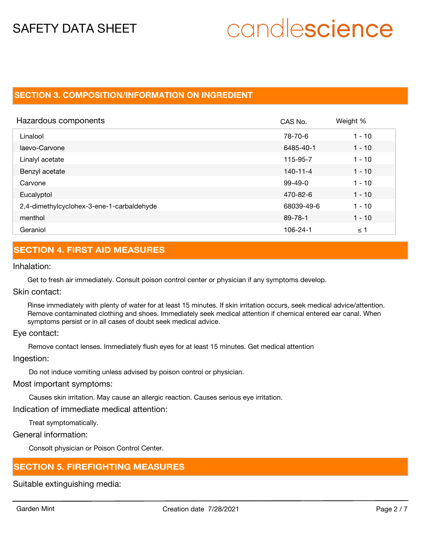# candlescience

## **SECTION 3. COMPOSITION/INFORMATION ON INGREDIENT**

| Hazardous components                      | CAS No.        | Weight % |
|-------------------------------------------|----------------|----------|
| Linalool                                  | 78-70-6        | $1 - 10$ |
| laevo-Carvone                             | 6485-40-1      | $1 - 10$ |
| Linalyl acetate                           | 115-95-7       | $1 - 10$ |
| Benzyl acetate                            | $140 - 11 - 4$ | $1 - 10$ |
| Carvone                                   | $99-49-0$      | $1 - 10$ |
| Eucalyptol                                | 470-82-6       | $1 - 10$ |
| 2,4-dimethylcyclohex-3-ene-1-carbaldehyde | 68039-49-6     | $1 - 10$ |
| menthol                                   | 89-78-1        | $1 - 10$ |
| Geraniol                                  | 106-24-1       | ≤ 1      |

## **SECTION 4. FIRST AID MEASURES**

#### Inhalation:

Get to fresh air immediately. Consult poison control center or physician if any symptoms develop.

#### Skin contact:

Rinse immediately with plenty of water for at least 15 minutes. If skin irritation occurs, seek medical advice/attention. Remove contaminated clothing and shoes. Immediately seek medical attention if chemical entered ear canal. When symptoms persist or in all cases of doubt seek medical advice.

#### Eye contact:

Remove contact lenses. Immediately flush eyes for at least 15 minutes. Get medical attention

#### Ingestion:

Do not induce vomiting unless advised by poison control or physician.

#### Most important symptoms:

Causes skin irritation. May cause an allergic reaction. Causes serious eye irritation.

### Indication of immediate medical attention:

Treat symptomatically.

### General information:

Consolt physician or Poison Control Center.

## **SECTION 5. FIREFIGHTING MEASURES**

Suitable extinguishing media: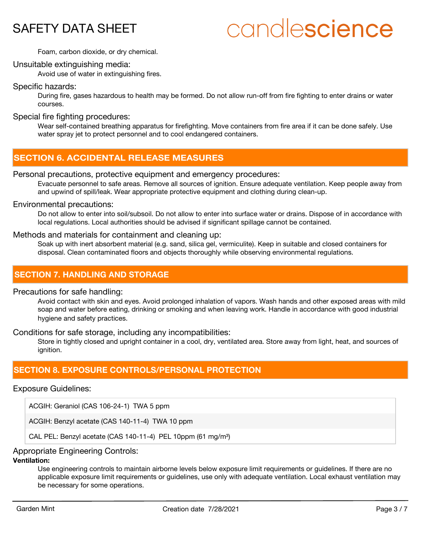# candlescience

Foam, carbon dioxide, or dry chemical.

#### Unsuitable extinguishing media:

Avoid use of water in extinguishing fires.

#### Specific hazards:

During fire, gases hazardous to health may be formed. Do not allow run-off from fire fighting to enter drains or water courses.

#### Special fire fighting procedures:

Wear self-contained breathing apparatus for firefighting. Move containers from fire area if it can be done safely. Use water spray jet to protect personnel and to cool endangered containers.

## **SECTION 6. ACCIDENTAL RELEASE MEASURES**

#### Personal precautions, protective equipment and emergency procedures:

Evacuate personnel to safe areas. Remove all sources of ignition. Ensure adequate ventilation. Keep people away from and upwind of spill/leak. Wear appropriate protective equipment and clothing during clean-up.

#### Environmental precautions:

Do not allow to enter into soil/subsoil. Do not allow to enter into surface water or drains. Dispose of in accordance with local regulations. Local authorities should be advised if significant spillage cannot be contained.

#### Methods and materials for containment and cleaning up:

Soak up with inert absorbent material (e.g. sand, silica gel, vermiculite). Keep in suitable and closed containers for disposal. Clean contaminated floors and objects thoroughly while observing environmental regulations.

### **SECTION 7. HANDLING AND STORAGE**

#### Precautions for safe handling:

Avoid contact with skin and eyes. Avoid prolonged inhalation of vapors. Wash hands and other exposed areas with mild soap and water before eating, drinking or smoking and when leaving work. Handle in accordance with good industrial hygiene and safety practices.

#### Conditions for safe storage, including any incompatibilities:

Store in tightly closed and upright container in a cool, dry, ventilated area. Store away from light, heat, and sources of ianition.

## **SECTION 8. EXPOSURE CONTROLS/PERSONAL PROTECTION**

#### Exposure Guidelines:

ACGIH: Geraniol (CAS 106-24-1) TWA 5 ppm

ACGIH: Benzyl acetate (CAS 140-11-4) TWA 10 ppm

CAL PEL: Benzyl acetate (CAS 140-11-4) PEL 10ppm (61 mg/m<sup>3</sup>)

### Appropriate Engineering Controls:

### **Ventilation:**

Use engineering controls to maintain airborne levels below exposure limit requirements or guidelines. If there are no applicable exposure limit requirements or guidelines, use only with adequate ventilation. Local exhaust ventilation may be necessary for some operations.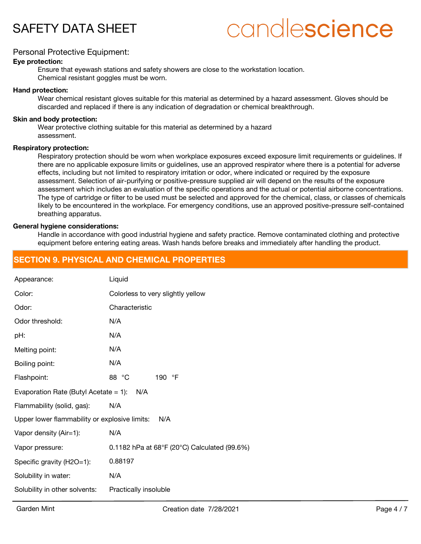

## candlescience

#### Personal Protective Equipment:

#### **Eye protection:**

Ensure that eyewash stations and safety showers are close to the workstation location. Chemical resistant goggles must be worn.

#### **Hand protection:**

Wear chemical resistant gloves suitable for this material as determined by a hazard assessment. Gloves should be discarded and replaced if there is any indication of degradation or chemical breakthrough.

#### **Skin and body protection:**

Wear protective clothing suitable for this material as determined by a hazard assessment.

#### **Respiratory protection:**

Respiratory protection should be worn when workplace exposures exceed exposure limit requirements or guidelines. If there are no applicable exposure limits or guidelines, use an approved respirator where there is a potential for adverse effects, including but not limited to respiratory irritation or odor, where indicated or required by the exposure assessment. Selection of air-purifying or positive-pressure supplied air will depend on the results of the exposure assessment which includes an evaluation of the specific operations and the actual or potential airborne concentrations. The type of cartridge or filter to be used must be selected and approved for the chemical, class, or classes of chemicals likely to be encountered in the workplace. For emergency conditions, use an approved positive-pressure self-contained breathing apparatus.

#### **General hygiene considerations:**

Handle in accordance with good industrial hygiene and safety practice. Remove contaminated clothing and protective equipment before entering eating areas. Wash hands before breaks and immediately after handling the product.

### **SECTION 9. PHYSICAL AND CHEMICAL PROPERTIES**

| Appearance:                                          | Liquid                                                      |  |  |
|------------------------------------------------------|-------------------------------------------------------------|--|--|
| Color:                                               | Colorless to very slightly yellow                           |  |  |
| Odor:                                                | Characteristic                                              |  |  |
| Odor threshold:                                      | N/A                                                         |  |  |
| pH:                                                  | N/A                                                         |  |  |
| Melting point:                                       | N/A                                                         |  |  |
| Boiling point:                                       | N/A                                                         |  |  |
| Flashpoint:                                          | 88 °C<br>190 °F                                             |  |  |
| Evaporation Rate (Butyl Acetate $= 1$ ):<br>N/A      |                                                             |  |  |
| Flammability (solid, gas):                           | N/A                                                         |  |  |
| Upper lower flammability or explosive limits:<br>N/A |                                                             |  |  |
| Vapor density (Air=1):                               | N/A                                                         |  |  |
| Vapor pressure:                                      | 0.1182 hPa at $68^{\circ}F(20^{\circ}C)$ Calculated (99.6%) |  |  |
| Specific gravity (H2O=1):                            | 0.88197                                                     |  |  |
| Solubility in water:                                 | N/A                                                         |  |  |
| Solubility in other solvents:                        | Practically insoluble                                       |  |  |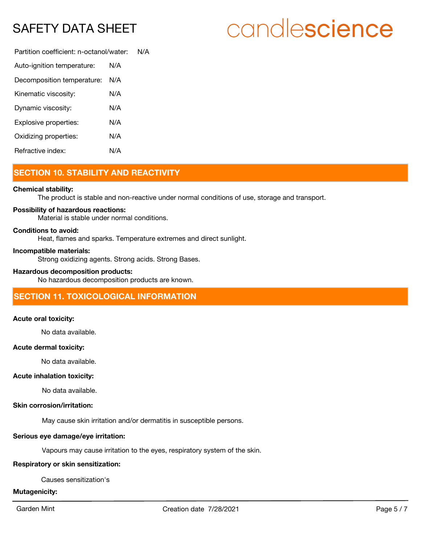# candlescience

Partition coefficient: n-octanol/water: N/A Auto-ignition temperature: N/A Decomposition temperature: N/A

| Decomposition temperature. | $\mathbf{u}$ |
|----------------------------|--------------|
| Kinematic viscosity:       | N/A          |
| Dynamic viscosity:         | N/A          |
| Explosive properties:      | N/A          |
| Oxidizing properties:      | N/A          |
| Refractive index:          | N/A          |

## **SECTION 10. STABILITY AND REACTIVITY**

#### **Chemical stability:**

The product is stable and non-reactive under normal conditions of use, storage and transport.

#### **Possibility of hazardous reactions:**

Material is stable under normal conditions.

#### **Conditions to avoid:**

Heat, flames and sparks. Temperature extremes and direct sunlight.

#### **Incompatible materials:**

Strong oxidizing agents. Strong acids. Strong Bases.

#### **Hazardous decomposition products:**

No hazardous decomposition products are known.

## **SECTION 11. TOXICOLOGICAL INFORMATION**

#### **Acute oral toxicity:**

No data available.

#### **Acute dermal toxicity:**

No data available.

#### **Acute inhalation toxicity:**

No data available.

#### **Skin corrosion/irritation:**

May cause skin irritation and/or dermatitis in susceptible persons.

#### **Serious eye damage/eye irritation:**

Vapours may cause irritation to the eyes, respiratory system of the skin.

#### **Respiratory or skin sensitization:**

Causes sensitization's

#### **Mutagenicity:**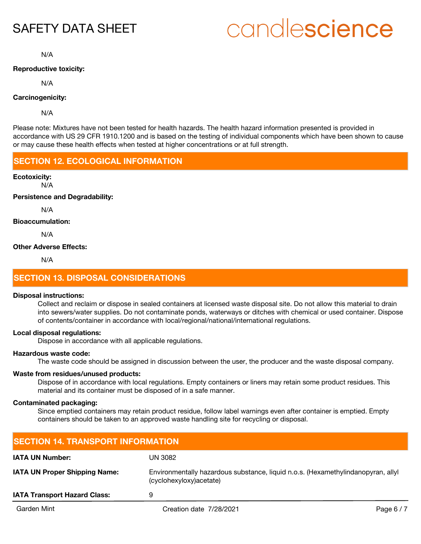# candlescience

N/A

#### **Reproductive toxicity:**

N/A

#### **Carcinogenicity:**

N/A

Please note: Mixtures have not been tested for health hazards. The health hazard information presented is provided in accordance with US 29 CFR 1910.1200 and is based on the testing of individual components which have been shown to cause or may cause these health effects when tested at higher concentrations or at full strength.

## **SECTION 12. ECOLOGICAL INFORMATION**

#### **Ecotoxicity:**

N/A

#### **Persistence and Degradability:**

N/A

#### **Bioaccumulation:**

N/A

#### **Other Adverse Effects:**

N/A

## **SECTION 13. DISPOSAL CONSIDERATIONS**

#### **Disposal instructions:**

Collect and reclaim or dispose in sealed containers at licensed waste disposal site. Do not allow this material to drain into sewers/water supplies. Do not contaminate ponds, waterways or ditches with chemical or used container. Dispose of contents/container in accordance with local/regional/national/international regulations.

#### **Local disposal regulations:**

Dispose in accordance with all applicable regulations.

#### **Hazardous waste code:**

The waste code should be assigned in discussion between the user, the producer and the waste disposal company.

#### **Waste from residues/unused products:**

Dispose of in accordance with local regulations. Empty containers or liners may retain some product residues. This material and its container must be disposed of in a safe manner.

#### **Contaminated packaging:**

Since emptied containers may retain product residue, follow label warnings even after container is emptied. Empty containers should be taken to an approved waste handling site for recycling or disposal.

| <b>SECTION 14. TRANSPORT INFORMATION</b> |                                                                                                              |            |  |
|------------------------------------------|--------------------------------------------------------------------------------------------------------------|------------|--|
| <b>IATA UN Number:</b>                   | UN 3082                                                                                                      |            |  |
| <b>IATA UN Proper Shipping Name:</b>     | Environmentally hazardous substance, liquid n.o.s. (Hexamethylindanopyran, allyl<br>(cyclohexyloxy) acetate) |            |  |
| <b>IATA Transport Hazard Class:</b>      | 9                                                                                                            |            |  |
| Garden Mint                              | Creation date 7/28/2021                                                                                      | Page $6/7$ |  |